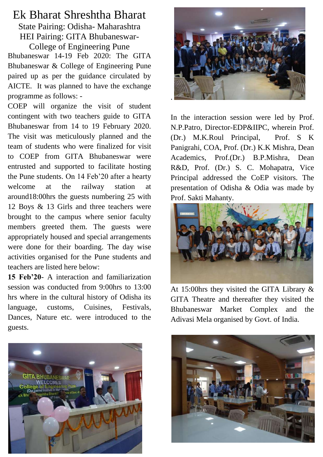## Ek Bharat Shreshtha Bharat

State Pairing: Odisha- Maharashtra HEI Pairing: GITA Bhubaneswar-College of Engineering Pune

Bhubaneswar 14-19 Feb 2020: The GITA Bhubaneswar & College of Engineering Pune paired up as per the guidance circulated by AICTE. It was planned to have the exchange programme as follows: -

COEP will organize the visit of student contingent with two teachers guide to GITA Bhubaneswar from 14 to 19 February 2020. The visit was meticulously planned and the team of students who were finalized for visit to COEP from GITA Bhubaneswar were entrusted and supported to facilitate hosting the Pune students. On 14 Feb'20 after a hearty welcome at the railway station at around18:00hrs the guests numbering 25 with 12 Boys & 13 Girls and three teachers were brought to the campus where senior faculty members greeted them. The guests were appropriately housed and special arrangements were done for their boarding. The day wise activities organised for the Pune students and teachers are listed here below:

**15 Feb'20**- A interaction and familiarization session was conducted from 9:00hrs to 13:00 hrs where in the cultural history of Odisha its language, customs, Cuisines, Festivals, Dances, Nature etc. were introduced to the guests.





In the interaction session were led by Prof. N.P.Patro, Director-EDP&IIPC, wherein Prof. (Dr.) M.K.Roul Principal, Prof. S K Panigrahi, COA, Prof. (Dr.) K.K Mishra, Dean Academics, Prof.(Dr.) B.P.Mishra, Dean R&D, Prof. (Dr.) S. C. Mohapatra, Vice Principal addressed the CoEP visitors. The presentation of Odisha & Odia was made by Prof. Sakti Mahanty.



At 15:00hrs they visited the GITA Library & GITA Theatre and thereafter they visited the Bhubaneswar Market Complex and the Adivasi Mela organised by Govt. of India.

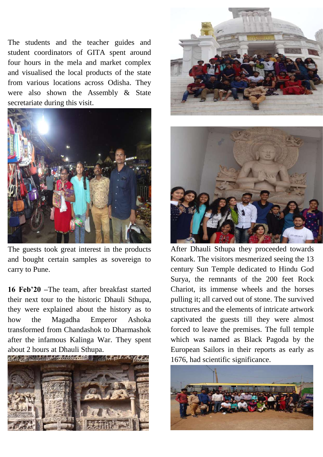The students and the teacher guides and student coordinators of GITA spent around four hours in the mela and market complex and visualised the local products of the state from various locations across Odisha. They were also shown the Assembly & State secretariate during this visit.



The guests took great interest in the products and bought certain samples as sovereign to carry to Pune.

**16 Feb'20 –**The team, after breakfast started their next tour to the historic Dhauli Sthupa, they were explained about the history as to how the Magadha Emperor Ashoka transformed from Chandashok to Dharmashok after the infamous Kalinga War. They spent about 2 hours at Dhauli Sthupa.







After Dhauli Sthupa they proceeded towards Konark. The visitors mesmerized seeing the 13 century Sun Temple dedicated to Hindu God Surya, the remnants of the 200 feet Rock Chariot, its immense wheels and the horses pulling it; all carved out of stone. The survived structures and the elements of intricate artwork captivated the guests till they were almost forced to leave the premises. The full temple which was named as Black Pagoda by the European Sailors in their reports as early as 1676, had scientific significance.

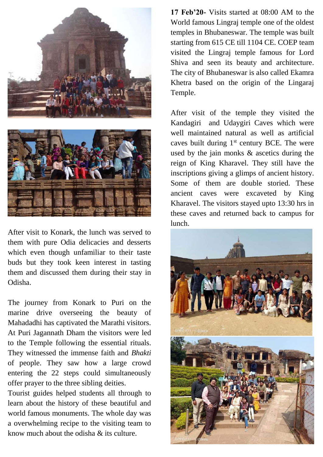

After visit to Konark, the lunch was served to them with pure Odia delicacies and desserts which even though unfamiliar to their taste buds but they took keen interest in tasting them and discussed them during their stay in Odisha.

The journey from Konark to Puri on the marine drive overseeing the beauty of Mahadadhi has captivated the Marathi visitors. At Puri Jagannath Dham the visitors were led to the Temple following the essential rituals. They witnessed the immense faith and *Bhakti* of people. They saw how a large crowd entering the 22 steps could simultaneously offer prayer to the three sibling deities.

Tourist guides helped students all through to learn about the history of these beautiful and world famous monuments. The whole day was a overwhelming recipe to the visiting team to know much about the odisha & its culture.

**17 Feb'20-** Visits started at 08:00 AM to the World famous Lingraj temple one of the oldest temples in Bhubaneswar. The temple was built starting from 615 CE till 1104 CE. COEP team visited the Lingraj temple famous for Lord Shiva and seen its beauty and architecture. The city of Bhubaneswar is also called Ekamra Khetra based on the origin of the Lingaraj Temple.

After visit of the temple they visited the Kandagiri and Udaygiri Caves which were well maintained natural as well as artificial caves built during  $1<sup>st</sup>$  century BCE. The were used by the jain monks & ascetics during the reign of King Kharavel. They still have the inscriptions giving a glimps of ancient history. Some of them are double storied. These ancient caves were excaveted by King Kharavel. The visitors stayed upto 13:30 hrs in these caves and returned back to campus for lunch.

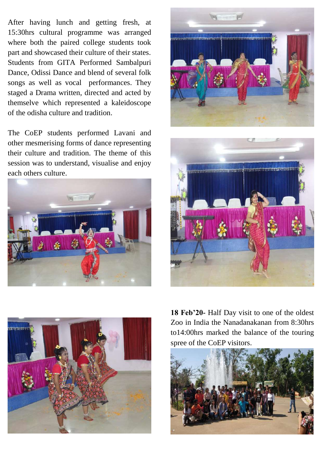After having lunch and getting fresh, at 15:30hrs cultural programme was arranged where both the paired college students took part and showcased their culture of their states. Students from GITA Performed Sambalpuri Dance, Odissi Dance and blend of several folk songs as well as vocal performances. They staged a Drama written, directed and acted by themselve which represented a kaleidoscope of the odisha culture and tradition.

The CoEP students performed Lavani and other mesmerising forms of dance representing their culture and tradition. The theme of this session was to understand, visualise and enjoy each others culture.









**18 Feb'20-** Half Day visit to one of the oldest Zoo in India the Nanadanakanan from 8:30hrs to14:00hrs marked the balance of the touring spree of the CoEP visitors.